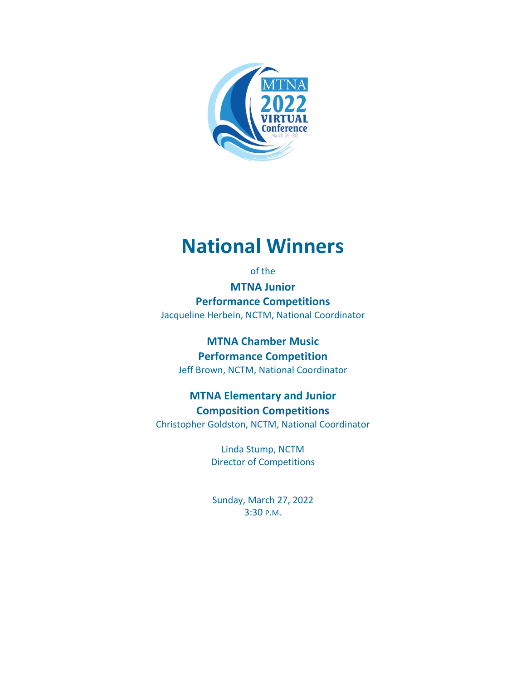

# **National Winners**

of the

**MTNA Junior Performance Competitions** Jacqueline Herbein, NCTM, National Coordinator

**MTNA Chamber Music Performance Competition** Jeff Brown, NCTM, National Coordinator

## **MTNA Elementary and Junior Composition Competitions**

Christopher Goldston, NCTM, National Coordinator

Linda Stump, NCTM Director of Competitions

Sunday, March 27, 2022 3:30 P.M.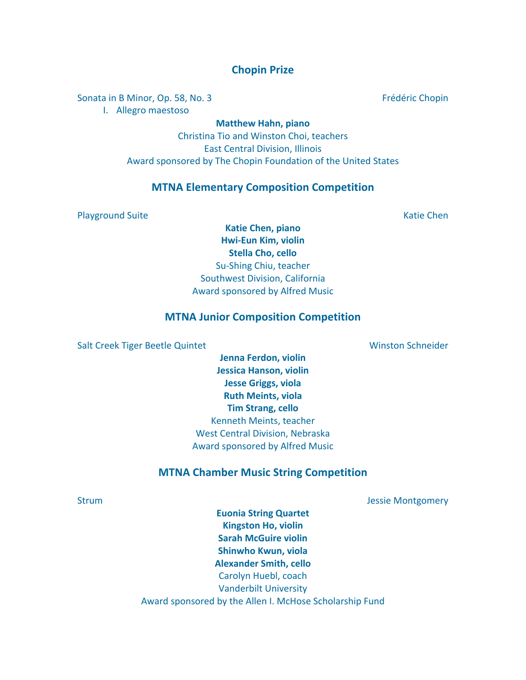### **Chopin Prize**

Sonata in B Minor, Op. 58, No. 3 Frédéric Chopin

I. Allegro maestoso

**Matthew Hahn, piano**

Christina Tio and Winston Choi, teachers East Central Division, Illinois Award sponsored by The Chopin Foundation of the United States

#### **MTNA Elementary Composition Competition**

Playground Suite Katie Chen

**Katie Chen, piano Hwi-Eun Kim, violin Stella Cho, cello** Su-Shing Chiu, teacher Southwest Division, California Award sponsored by Alfred Music

#### **MTNA Junior Composition Competition**

Salt Creek Tiger Beetle Quintet National Schneider Winston Schneider

**Jenna Ferdon, violin Jessica Hanson, violin Jesse Griggs, viola Ruth Meints, viola Tim Strang, cello** Kenneth Meints, teacher West Central Division, Nebraska Award sponsored by Alfred Music

#### **MTNA Chamber Music String Competition**

Strum **Jessie Montgomery** Strum **Jessie Montgomery** 

**Euonia String Quartet Kingston Ho, violin Sarah McGuire violin Shinwho Kwun, viola Alexander Smith, cello** Carolyn Huebl, coach Vanderbilt University Award sponsored by the Allen I. McHose Scholarship Fund